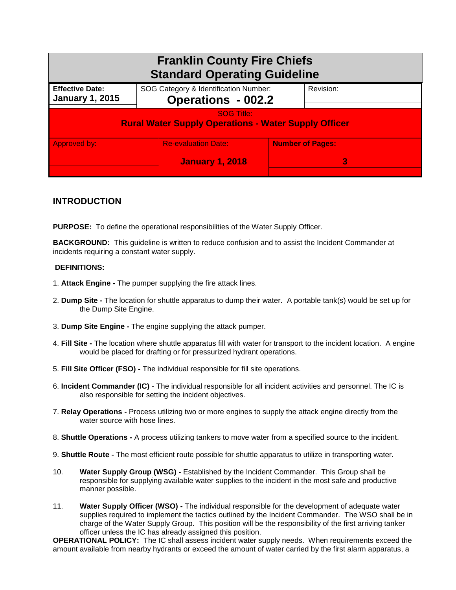| <b>Franklin County Fire Chiefs</b><br><b>Standard Operating Guideline</b>        |                                                      |                              |  |
|----------------------------------------------------------------------------------|------------------------------------------------------|------------------------------|--|
| <b>Effective Date:</b><br><b>January 1, 2015</b>                                 | SOG Category & Identification Number:                | <b>Operations - 002.2</b>    |  |
| <b>SOG Title:</b><br><b>Rural Water Supply Operations - Water Supply Officer</b> |                                                      |                              |  |
| Approved by:                                                                     | <b>Re-evaluation Date:</b><br><b>January 1, 2018</b> | <b>Number of Pages:</b><br>3 |  |

## **INTRODUCTION**

**PURPOSE:** To define the operational responsibilities of the Water Supply Officer.

**BACKGROUND:** This guideline is written to reduce confusion and to assist the Incident Commander at incidents requiring a constant water supply.

## **DEFINITIONS:**

- 1. **Attack Engine -** The pumper supplying the fire attack lines.
- 2. **Dump Site -** The location for shuttle apparatus to dump their water. A portable tank(s) would be set up for the Dump Site Engine.
- 3. **Dump Site Engine -** The engine supplying the attack pumper.
- 4. **Fill Site -** The location where shuttle apparatus fill with water for transport to the incident location. A engine would be placed for drafting or for pressurized hydrant operations.
- 5. **Fill Site Officer (FSO) -** The individual responsible for fill site operations.
- 6. **Incident Commander (IC)** The individual responsible for all incident activities and personnel. The IC is also responsible for setting the incident objectives.
- 7. **Relay Operations -** Process utilizing two or more engines to supply the attack engine directly from the water source with hose lines.
- 8. **Shuttle Operations -** A process utilizing tankers to move water from a specified source to the incident.
- 9. **Shuttle Route -** The most efficient route possible for shuttle apparatus to utilize in transporting water.
- 10. **Water Supply Group (WSG) -** Established by the Incident Commander. This Group shall be responsible for supplying available water supplies to the incident in the most safe and productive manner possible.
- 11. **Water Supply Officer (WSO) -** The individual responsible for the development of adequate water supplies required to implement the tactics outlined by the Incident Commander. The WSO shall be in charge of the Water Supply Group. This position will be the responsibility of the first arriving tanker officer unless the IC has already assigned this position.

**OPERATIONAL POLICY:** The IC shall assess incident water supply needs. When requirements exceed the amount available from nearby hydrants or exceed the amount of water carried by the first alarm apparatus, a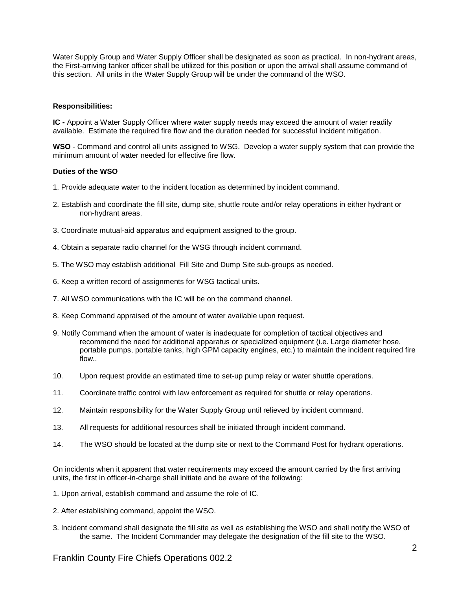Water Supply Group and Water Supply Officer shall be designated as soon as practical. In non-hydrant areas, the First-arriving tanker officer shall be utilized for this position or upon the arrival shall assume command of this section. All units in the Water Supply Group will be under the command of the WSO.

## **Responsibilities:**

**IC -** Appoint a Water Supply Officer where water supply needs may exceed the amount of water readily available. Estimate the required fire flow and the duration needed for successful incident mitigation.

**WSO** - Command and control all units assigned to WSG. Develop a water supply system that can provide the minimum amount of water needed for effective fire flow.

## **Duties of the WSO**

- 1. Provide adequate water to the incident location as determined by incident command.
- 2. Establish and coordinate the fill site, dump site, shuttle route and/or relay operations in either hydrant or non-hydrant areas.
- 3. Coordinate mutual-aid apparatus and equipment assigned to the group.
- 4. Obtain a separate radio channel for the WSG through incident command.
- 5. The WSO may establish additional Fill Site and Dump Site sub-groups as needed.
- 6. Keep a written record of assignments for WSG tactical units.
- 7. All WSO communications with the IC will be on the command channel.
- 8. Keep Command appraised of the amount of water available upon request.
- 9. Notify Command when the amount of water is inadequate for completion of tactical objectives and recommend the need for additional apparatus or specialized equipment (i.e. Large diameter hose, portable pumps, portable tanks, high GPM capacity engines, etc.) to maintain the incident required fire flow..
- 10. Upon request provide an estimated time to set-up pump relay or water shuttle operations.
- 11. Coordinate traffic control with law enforcement as required for shuttle or relay operations.
- 12. Maintain responsibility for the Water Supply Group until relieved by incident command.
- 13. All requests for additional resources shall be initiated through incident command.
- 14. The WSO should be located at the dump site or next to the Command Post for hydrant operations.

On incidents when it apparent that water requirements may exceed the amount carried by the first arriving units, the first in officer-in-charge shall initiate and be aware of the following:

1. Upon arrival, establish command and assume the role of IC.

- 2. After establishing command, appoint the WSO.
- 3. Incident command shall designate the fill site as well as establishing the WSO and shall notify the WSO of the same. The Incident Commander may delegate the designation of the fill site to the WSO.